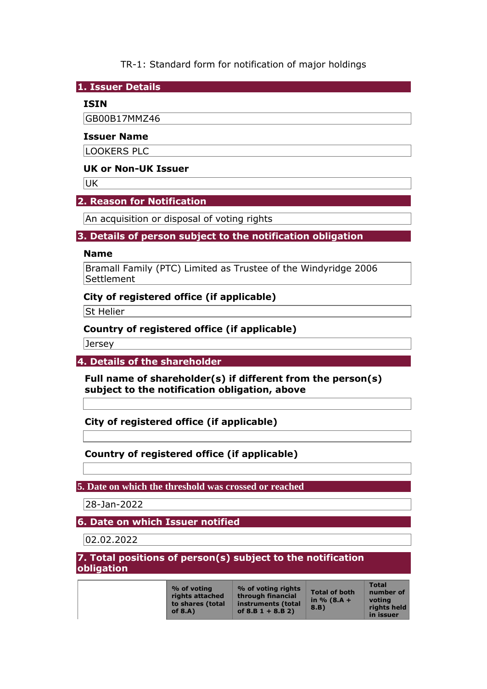TR-1: Standard form for notification of major holdings

**1. Issuer Details** 

## **ISIN**

GB00B17MMZ46

### **Issuer Name**

LOOKERS PLC

## **UK or Non-UK Issuer**

**UK** 

# **2. Reason for Notification**

An acquisition or disposal of voting rights

## **3. Details of person subject to the notification obligation**

### **Name**

Bramall Family (PTC) Limited as Trustee of the Windyridge 2006 Settlement

# **City of registered office (if applicable)**

St Helier

# **Country of registered office (if applicable)**

Jersey

**4. Details of the shareholder** 

**Full name of shareholder(s) if different from the person(s) subject to the notification obligation, above** 

**City of registered office (if applicable)** 

# **Country of registered office (if applicable)**

**5. Date on which the threshold was crossed or reached** 

28-Jan-2022

**6. Date on which Issuer notified** 

02.02.2022

**7. Total positions of person(s) subject to the notification obligation** 

|  | % of voting<br>rights attached<br>to shares (total<br>of $8.A$ ) | % of voting rights<br>through financial<br>instruments (total<br>of $8.B 1 + 8.B 2)$ | <b>Total of both</b><br>in $% (8.A +$<br>8.B | <b>Total</b><br>number of<br>votina<br>rights held<br>in issuer |
|--|------------------------------------------------------------------|--------------------------------------------------------------------------------------|----------------------------------------------|-----------------------------------------------------------------|
|--|------------------------------------------------------------------|--------------------------------------------------------------------------------------|----------------------------------------------|-----------------------------------------------------------------|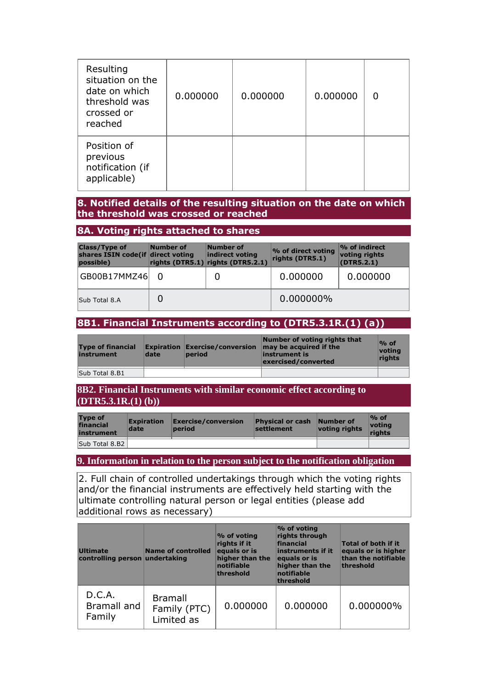| Resulting<br>situation on the<br>date on which<br>threshold was<br>crossed or<br>reached | 0.000000 | 0.000000 | 0.000000 |  |
|------------------------------------------------------------------------------------------|----------|----------|----------|--|
| Position of<br>previous<br>notification (if<br>applicable)                               |          |          |          |  |

### **8. Notified details of the resulting situation on the date on which the threshold was crossed or reached**

#### **8A. Voting rights attached to shares**

| <b>Class/Type of</b><br>shares ISIN code(if direct voting<br>possible) | Number of | Number of<br>indirect voting<br>rights (DTR5.1) rights (DTR5.2.1) | % of direct voting<br>rights (DTR5.1) | $\sim$ of indirect<br>voting rights<br>(DTR5.2.1) |
|------------------------------------------------------------------------|-----------|-------------------------------------------------------------------|---------------------------------------|---------------------------------------------------|
| GB00B17MMZ46                                                           |           |                                                                   | 0.000000                              | 0.000000                                          |
| Sub Total 8.A                                                          |           |                                                                   | 0.000000%                             |                                                   |

# **8B1. Financial Instruments according to (DTR5.3.1R.(1) (a))**

| <b>Type of financial</b><br>instrument | date | <b>Expiration Exercise/conversion</b><br>period | Number of voting rights that<br>may be acquired if the<br>instrument is<br>exercised/converted | $\%$ of<br>votina<br>rights |
|----------------------------------------|------|-------------------------------------------------|------------------------------------------------------------------------------------------------|-----------------------------|
| Sub Total 8.B1                         |      |                                                 |                                                                                                |                             |

**8B2. Financial Instruments with similar economic effect according to (DTR5.3.1R.(1) (b))** 

| <b>Type of</b><br>financial<br>instrument | <b>Expiration</b><br>date | Exercise/conversion<br>period | Physical or cash Number of<br>settlement | voting rights | $\%$ of<br>votina<br>riahts |
|-------------------------------------------|---------------------------|-------------------------------|------------------------------------------|---------------|-----------------------------|
| Sub Total 8.B2                            |                           |                               |                                          |               |                             |

## **9. Information in relation to the person subject to the notification obligation**

2. Full chain of controlled undertakings through which the voting rights and/or the financial instruments are effectively held starting with the ultimate controlling natural person or legal entities (please add additional rows as necessary)

| <b>Ultimate</b><br>controlling person undertaking | <b>Name of controlled</b>                    | $\%$ of voting<br>rights if it<br>equals or is<br>higher than the<br>notifiable<br>threshold | % of voting<br>rights through<br>financial<br>instruments if it<br>equals or is<br>higher than the<br>notifiable<br>threshold | Total of both if it<br>equals or is higher<br>than the notifiable<br>threshold |
|---------------------------------------------------|----------------------------------------------|----------------------------------------------------------------------------------------------|-------------------------------------------------------------------------------------------------------------------------------|--------------------------------------------------------------------------------|
| D.C.A.<br>Bramall and<br>Family                   | <b>Bramall</b><br>Family (PTC)<br>Limited as | 0.000000                                                                                     | 0.000000                                                                                                                      | 0.000000%                                                                      |